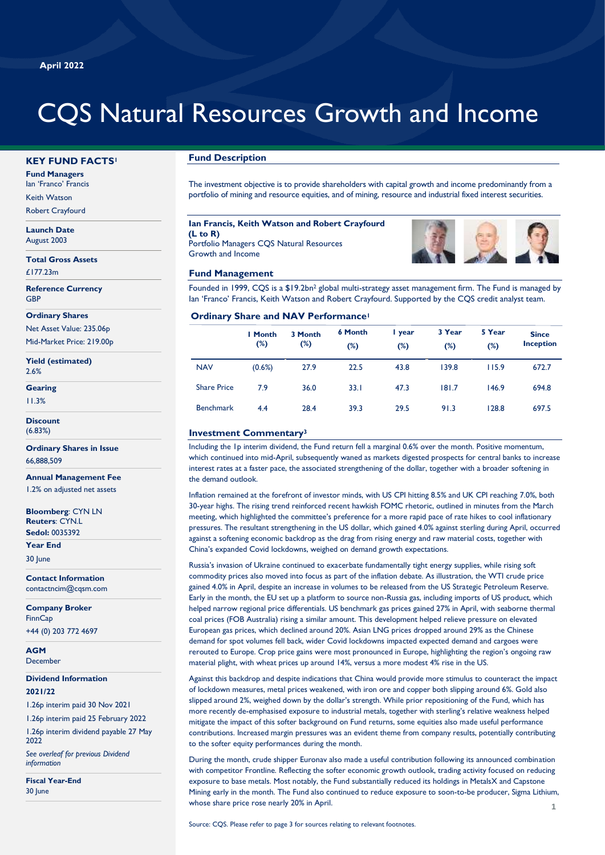# CQS Natural Resources Growth and Income

#### **KEY FUND FACTS<sup>1</sup>**

**Fund Managers** Ian 'Franco' Francis

Keith Watson

Robert Crayfourd

**Launch Date** August 2003

**Total Gross Assets** £177.23m

**Reference Currency** GBP

**Ordinary Shares**

Net Asset Value: 235.06p

Mid-Market Price: 219.00p

**Yield (estimated)** 2.6%

**Gearing**

11.3%

**Discount**

(6.83%)

**Ordinary Shares in Issue** 66,888,509

**Annual Management Fee** 1.2% on adjusted net assets

**Bloomberg**: CYN LN **Reuters**: CYN.L **Sedol:** 0035392

**Year End**

30 June

P **Contact Information** contactncim@cqsm.com

**Company Broker FinnCap** +44 (0) 203 772 4697

**AGM** December

**Dividend Information 2021/22** 

1.26p interim paid 30 Nov 2021

1.26p interim paid 25 February 2022 1.26p interim dividend payable 27 May

2022 *See overleaf for previous Dividend information*

**Fiscal Year-End** 30 June

# **Fund Description**

The investment objective is to provide shareholders with capital growth and income predominantly from a portfolio of mining and resource equities, and of mining, resource and industrial fixed interest securities.

#### **Ian Francis, Keith Watson and Robert Crayfourd (L to R)** Portfolio Managers CQS Natural Resources Growth and Income

**Fund Management**



Founded in 1999, CQS is a \$19.2bn<sup>2</sup> global multi-strategy asset management firm. The Fund is managed by Ian 'Franco' Francis, Keith Watson and Robert Crayfourd. Supported by the CQS credit analyst team.

#### **Ordinary Share and NAV Performance<sup>1</sup>**

|                    | <b>I</b> Month<br>(%) | 3 Month<br>$(\%)$ | <b>6 Month</b><br>$(\%)$ | I year<br>$(\%)$ | 3 Year<br>$(\%)$ | 5 Year<br>$(\%)$ | <b>Since</b><br><b>Inception</b> |
|--------------------|-----------------------|-------------------|--------------------------|------------------|------------------|------------------|----------------------------------|
| <b>NAV</b>         | (0.6%)                | 27.9              | 22.5                     | 43.8             | 139.8            | 115.9            | 672.7                            |
| <b>Share Price</b> | 7.9                   | 36.0              | 33.1                     | 47.3             | 181.7            | 146.9            | 694.8                            |
| <b>Benchmark</b>   | 4.4                   | 28.4              | 39.3                     | 29.5             | 91.3             | 128.8            | 697.5                            |

## **Investment Commentary<sup>3</sup>**

Including the 1p interim dividend, the Fund return fell a marginal 0.6% over the month. Positive momentum, which continued into mid-April, subsequently waned as markets digested prospects for central banks to increase interest rates at a faster pace, the associated strengthening of the dollar, together with a broader softening in the demand outlook.

Inflation remained at the forefront of investor minds, with US CPI hitting 8.5% and UK CPI reaching 7.0%, both 30-year highs. The rising trend reinforced recent hawkish FOMC rhetoric, outlined in minutes from the March meeting, which highlighted the committee's preference for a more rapid pace of rate hikes to cool inflationary pressures. The resultant strengthening in the US dollar, which gained 4.0% against sterling during April, occurred against a softening economic backdrop as the drag from rising energy and raw material costs, together with China's expanded Covid lockdowns, weighed on demand growth expectations.

Russia's invasion of Ukraine continued to exacerbate fundamentally tight energy supplies, while rising soft commodity prices also moved into focus as part of the inflation debate. As illustration, the WTI crude price gained 4.0% in April, despite an increase in volumes to be released from the US Strategic Petroleum Reserve. Early in the month, the EU set up a platform to source non-Russia gas, including imports of US product, which helped narrow regional price differentials. US benchmark gas prices gained 27% in April, with seaborne thermal coal prices (FOB Australia) rising a similar amount. This development helped relieve pressure on elevated European gas prices, which declined around 20%. Asian LNG prices dropped around 29% as the Chinese demand for spot volumes fell back, wider Covid lockdowns impacted expected demand and cargoes were rerouted to Europe. Crop price gains were most pronounced in Europe, highlighting the region's ongoing raw material plight, with wheat prices up around 14%, versus a more modest 4% rise in the US.

Against this backdrop and despite indications that China would provide more stimulus to counteract the impact of lockdown measures, metal prices weakened, with iron ore and copper both slipping around 6%. Gold also slipped around 2%, weighed down by the dollar's strength. While prior repositioning of the Fund, which has more recently de-emphasised exposure to industrial metals, together with sterling's relative weakness helped mitigate the impact of this softer background on Fund returns, some equities also made useful performance contributions. Increased margin pressures was an evident theme from company results, potentially contributing to the softer equity performances during the month.

**1** During the month, crude shipper Euronav also made a useful contribution following its announced combination with competitor Frontline. Reflecting the softer economic growth outlook, trading activity focused on reducing exposure to base metals. Most notably, the Fund substantially reduced its holdings in MetalsX and Capstone Mining early in the month. The Fund also continued to reduce exposure to soon-to-be producer, Sigma Lithium, whose share price rose nearly 20% in April.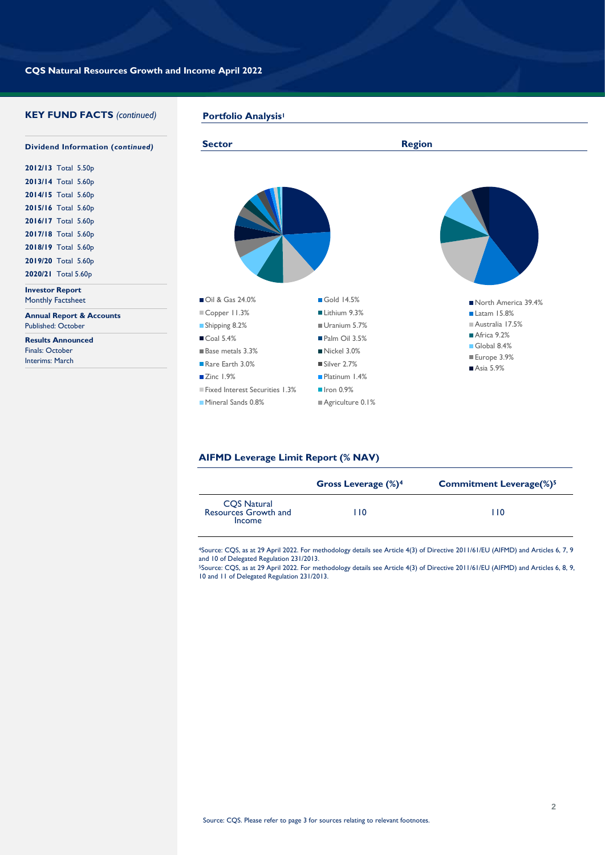# **KEY FUND FACTS** *(continued)*

 $\overline{\phantom{a}}$ ■ Oil & Gas 24.0% Gold 14.5% ■Copper 11.3% Lithium 9.3% ■ Shipping 8.2% Uranium 5.7% ■ Coal 5.4% Palm Oil 3.5% ■ Base metals 3.3% Nickel 3.0% Rare Earth 3.0% Silver 2.7% ■ Zinc 1.9% Platinum 1.4% **Dividend Information (***continued)* **2012/13** Total 5.50p **2013/14** Total 5.60p **2014/15** Total 5.60p **2015/16** Total 5.60p **2016/17** Total 5.60p **2017/18** Total 5.60p **2018/19** Total 5.60p **2019/20** Total 5.60p **2020/21** Total 5.60p **Investor Report** Monthly Factsheet **Annual Report & Accounts** Published: October **Results Announced** Finals: October Interims: March **Portfolio Analysis<sup>1</sup> Sector** Region North America 39.4% Latam 15.8% Australia 17.5% Africa 9.2% Global 8.4% Europe 3.9% ■ Asia 5.9%

# **AIFMD Leverage Limit Report (% NAV)**

■ Fixed Interest Securities 1.3% Iron 0.9% Mineral Sands 0.8% Agriculture 0.1%

|                                               | Gross Leverage (%) <sup>4</sup> | <b>Commitment Leverage(%)</b> <sup>5</sup> |
|-----------------------------------------------|---------------------------------|--------------------------------------------|
| CQS Natural<br>Resources Growth and<br>Income | l 10                            | 1 I O                                      |

<sup>4</sup>Source: CQS, as at 29 April 2022. For methodology details see Article 4(3) of Directive 2011/61/EU (AIFMD) and Articles 6, 7, 9 and 10 of Delegated Regulation 231/2013.

<sup>5</sup>Source: CQS, as at 29 April 2022. For methodology details see Article 4(3) of Directive 2011/61/EU (AIFMD) and Articles 6, 8, 9, 10 and 11 of Delegated Regulation 231/2013.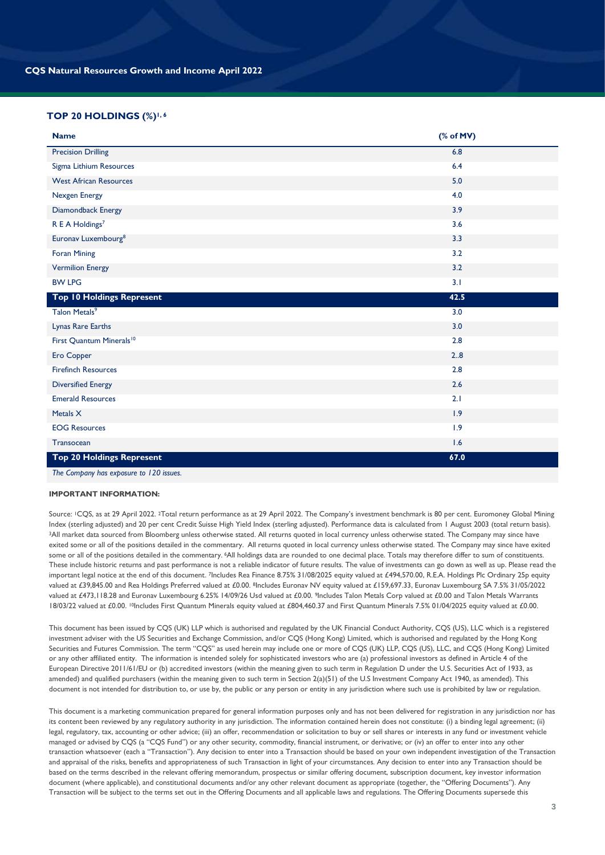# **TOP 20 HOLDINGS (%)1, 6**

| <b>Name</b>                          | (% of MV) |  |
|--------------------------------------|-----------|--|
| <b>Precision Drilling</b>            | 6.8       |  |
| Sigma Lithium Resources              | 6.4       |  |
| <b>West African Resources</b>        | 5.0       |  |
| Nexgen Energy                        | 4.0       |  |
| Diamondback Energy                   | 3.9       |  |
| R E A Holdings <sup>7</sup>          | 3.6       |  |
| Euronav Luxembourg <sup>8</sup>      | 3.3       |  |
| <b>Foran Mining</b>                  | 3.2       |  |
| <b>Vermilion Energy</b>              | 3.2       |  |
| <b>BW LPG</b>                        | 3.1       |  |
| Top 10 Holdings Represent            | 42.5      |  |
| Talon Metals <sup>9</sup>            | 3.0       |  |
| Lynas Rare Earths                    | 3.0       |  |
| First Quantum Minerals <sup>10</sup> | 2.8       |  |
| Ero Copper                           | 2.8       |  |
| <b>Firefinch Resources</b>           | 2.8       |  |
| <b>Diversified Energy</b>            | 2.6       |  |
| <b>Emerald Resources</b>             | 2.1       |  |
| Metals $X$                           | 1.9       |  |
| <b>EOG Resources</b>                 | 1.9       |  |
| Transocean                           | 1.6       |  |
| <b>Top 20 Holdings Represent</b>     | 67.0      |  |
|                                      |           |  |

*The Company has exposure to 120 issues.*

### **IMPORTANT INFORMATION:**

Source: <sup>1</sup>CQS, as at 29 April 2022. <sup>2</sup>Total return performance as at 29 April 2022. The Company's investment benchmark is 80 per cent. Euromoney Global Mining Index (sterling adjusted) and 20 per cent Credit Suisse High Yield Index (sterling adjusted). Performance data is calculated from 1 August 2003 (total return basis). <sup>3</sup>All market data sourced from Bloomberg unless otherwise stated. All returns quoted in local currency unless otherwise stated. The Company may since have exited some or all of the positions detailed in the commentary. All returns quoted in local currency unless otherwise stated. The Company may since have exited some or all of the positions detailed in the commentary. <sup>6</sup>All holdings data are rounded to one decimal place. Totals may therefore differ to sum of constituents. These include historic returns and past performance is not a reliable indicator of future results. The value of investments can go down as well as up. Please read the important legal notice at the end of this document. <sup>7</sup>Includes Rea Finance 8.75% 31/08/2025 equity valued at £494,570.00, R.E.A. Holdings Plc Ordinary 25p equity valued at £39,845.00 and Rea Holdings Preferred valued at £0.00. 8Includes Euronav NV equity valued at £159,697.33, Euronav Luxembourg SA 7.5% 31/05/2022 valued at £473,118.28 and Euronav Luxembourg 6.25% 14/09/26 Usd valued at £0.00. 9Includes Talon Metals Corp valued at £0.00 and Talon Metals Warrants 18/03/22 valued at £0.00. <sup>10</sup>Includes First Quantum Minerals equity valued at £804,460.37 and First Quantum Minerals 7.5% 01/04/2025 equity valued at £0.00.

This document has been issued by CQS (UK) LLP which is authorised and regulated by the UK Financial Conduct Authority, CQS (US), LLC which is a registered investment adviser with the US Securities and Exchange Commission, and/or CQS (Hong Kong) Limited, which is authorised and regulated by the Hong Kong Securities and Futures Commission. The term "CQS" as used herein may include one or more of CQS (UK) LLP, CQS (US), LLC, and CQS (Hong Kong) Limited or any other affiliated entity. The information is intended solely for sophisticated investors who are (a) professional investors as defined in Article 4 of the European Directive 2011/61/EU or (b) accredited investors (within the meaning given to such term in Regulation D under the U.S. Securities Act of 1933, as amended) and qualified purchasers (within the meaning given to such term in Section 2(a)(51) of the U.S Investment Company Act 1940, as amended). This document is not intended for distribution to, or use by, the public or any person or entity in any jurisdiction where such use is prohibited by law or regulation.

This document is a marketing communication prepared for general information purposes only and has not been delivered for registration in any jurisdiction nor has its content been reviewed by any regulatory authority in any jurisdiction. The information contained herein does not constitute: (i) a binding legal agreement; (ii) legal, regulatory, tax, accounting or other advice; (iii) an offer, recommendation or solicitation to buy or sell shares or interests in any fund or investment vehicle managed or advised by CQS (a "CQS Fund") or any other security, commodity, financial instrument, or derivative; or (iv) an offer to enter into any other transaction whatsoever (each a "Transaction"). Any decision to enter into a Transaction should be based on your own independent investigation of the Transaction and appraisal of the risks, benefits and appropriateness of such Transaction in light of your circumstances. Any decision to enter into any Transaction should be based on the terms described in the relevant offering memorandum, prospectus or similar offering document, subscription document, key investor information document (where applicable), and constitutional documents and/or any other relevant document as appropriate (together, the "Offering Documents"). Any Transaction will be subject to the terms set out in the Offering Documents and all applicable laws and regulations. The Offering Documents supersede this